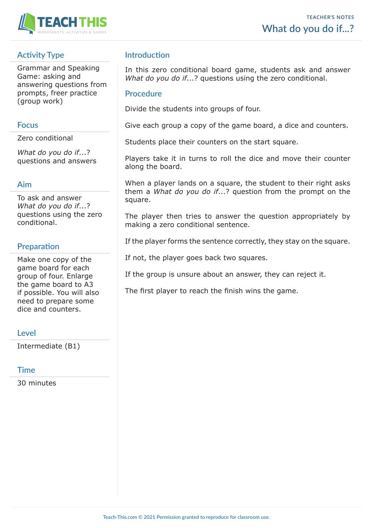

# **Activity Type**

Grammar and Speaking Game: asking and answering questions from prompts, freer practice (group work)

#### **Focus**

Zero conditional

*What do you do if*...? questions and answers

### **Aim**

To ask and answer *What do you do if*...? questions using the zero conditional.

# **Preparation**

Make one copy of the game board for each group of four. Enlarge the game board to A3 if possible. You will also need to prepare some dice and counters.

### **Level**

Intermediate (B1)

### **Time**

30 minutes

## **Introduction**

In this zero conditional board game, students ask and answer *What do you do if*...? questions using the zero conditional.

#### **Procedure**

Divide the students into groups of four.

Give each group a copy of the game board, a dice and counters.

Students place their counters on the start square.

Players take it in turns to roll the dice and move their counter along the board.

When a player lands on a square, the student to their right asks them a *What do you do if*...? question from the prompt on the square.

The player then tries to answer the question appropriately by making a zero conditional sentence.

If the player forms the sentence correctly, they stay on the square.

If not, the player goes back two squares.

If the group is unsure about an answer, they can reject it.

The first player to reach the finish wins the game.